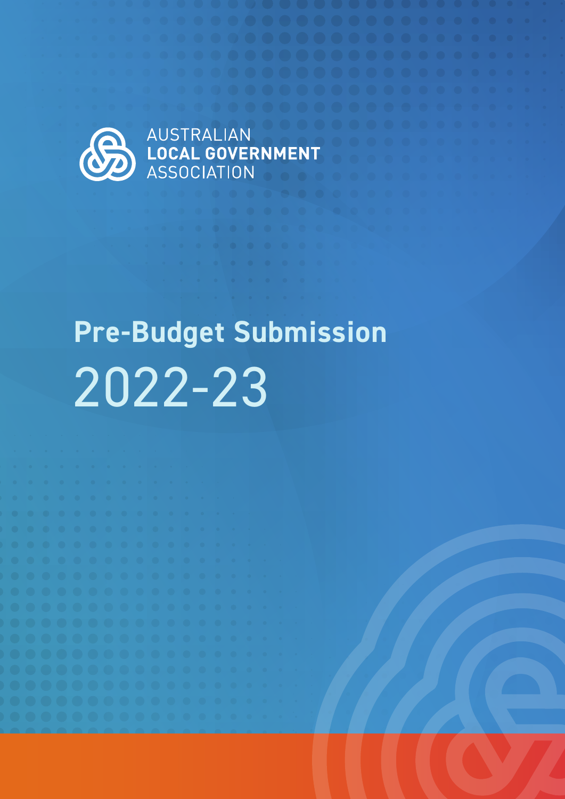

AUSTRALIAN

# **Pre-Budget Submission** 2022-23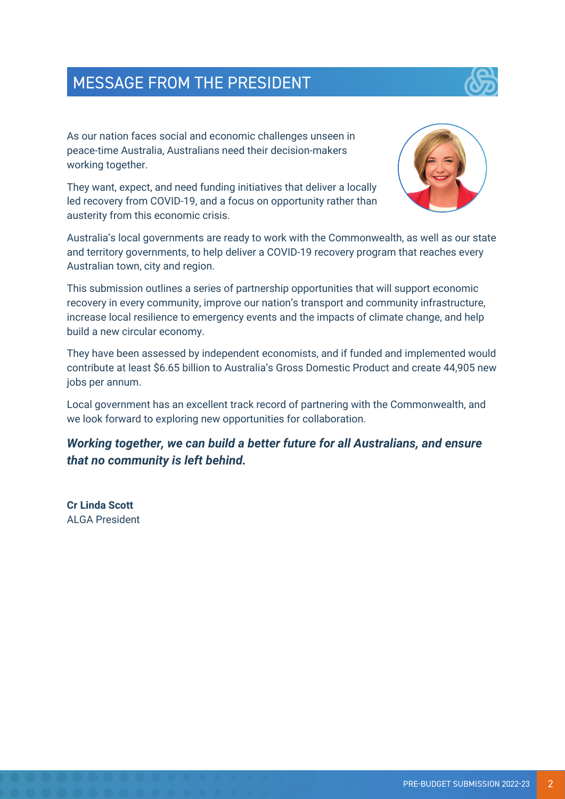

As our nation faces social and economic challenges unseen in peace-time Australia, Australians need their decision-makers working together.

They want, expect, and need funding initiatives that deliver a locally led recovery from COVID-19, and a focus on opportunity rather than austerity from this economic crisis.



Australia's local governments are ready to work with the Commonwealth, as well as our state and territory governments, to help deliver a COVID-19 recovery program that reaches every Australian town, city and region.

This submission outlines a series of partnership opportunities that will support economic recovery in every community, improve our nation's transport and community infrastructure, increase local resilience to emergency events and the impacts of climate change, and help build a new circular economy.

They have been assessed by independent economists, and if funded and implemented would contribute at least \$6.65 billion to Australia's Gross Domestic Product and create 44,905 new jobs per annum.

Local government has an excellent track record of partnering with the Commonwealth, and we look forward to exploring new opportunities for collaboration.

*Working together, we can build a better future for all Australians, and ensure that no community is left behind.*

**Cr Linda Scott** ALGA President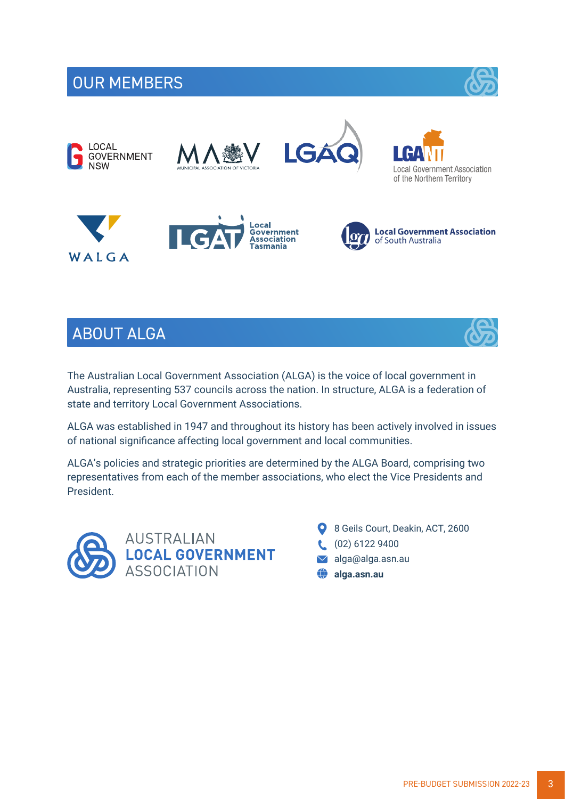# OUR MEMBERS

















# ABOUT ALGA



ALGA was established in 1947 and throughout its history has been actively involved in issues of national significance affecting local government and local communities.

ALGA's policies and strategic priorities are determined by the ALGA Board, comprising two representatives from each of the member associations, who elect the Vice Presidents and President.



- 8 Geils Court, Deakin, ACT, 2600
- (02) 6122 9400
- alga@alga.asn.au
- **alga.asn.au**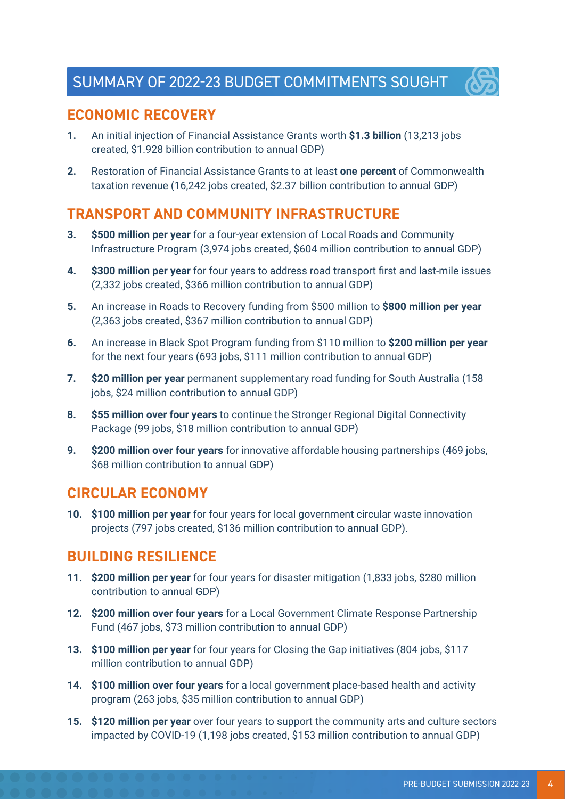

## **ECONOMIC RECOVERY**

- **1.** An initial injection of Financial Assistance Grants worth **\$1.3 billion** (13,213 jobs created, \$1.928 billion contribution to annual GDP)
- **2.** Restoration of Financial Assistance Grants to at least **one percent** of Commonwealth taxation revenue (16,242 jobs created, \$2.37 billion contribution to annual GDP)

## **TRANSPORT AND COMMUNITY INFRASTRUCTURE**

- **3. \$500 million per year** for a four-year extension of Local Roads and Community Infrastructure Program (3,974 jobs created, \$604 million contribution to annual GDP)
- **4. \$300 million per year** for four years to address road transport first and last-mile issues (2,332 jobs created, \$366 million contribution to annual GDP)
- **5.** An increase in Roads to Recovery funding from \$500 million to **\$800 million per year** (2,363 jobs created, \$367 million contribution to annual GDP)
- **6.** An increase in Black Spot Program funding from \$110 million to **\$200 million per year** for the next four years (693 jobs, \$111 million contribution to annual GDP)
- **7. \$20 million per year** permanent supplementary road funding for South Australia (158 jobs, \$24 million contribution to annual GDP)
- **8. \$55 million over four years** to continue the Stronger Regional Digital Connectivity Package (99 jobs, \$18 million contribution to annual GDP)
- **9. \$200 million over four years** for innovative affordable housing partnerships (469 jobs, \$68 million contribution to annual GDP)

### **CIRCULAR ECONOMY**

**10. \$100 million per year** for four years for local government circular waste innovation projects (797 jobs created, \$136 million contribution to annual GDP).

## **BUILDING RESILIENCE**

- **11. \$200 million per year** for four years for disaster mitigation (1,833 jobs, \$280 million contribution to annual GDP)
- **12. \$200 million over four years** for a Local Government Climate Response Partnership Fund (467 jobs, \$73 million contribution to annual GDP)
- **13. \$100 million per year** for four years for Closing the Gap initiatives (804 jobs, \$117 million contribution to annual GDP)
- **14. \$100 million over four years** for a local government place-based health and activity program (263 jobs, \$35 million contribution to annual GDP)
- **15. \$120 million per year** over four years to support the community arts and culture sectors impacted by COVID-19 (1,198 jobs created, \$153 million contribution to annual GDP)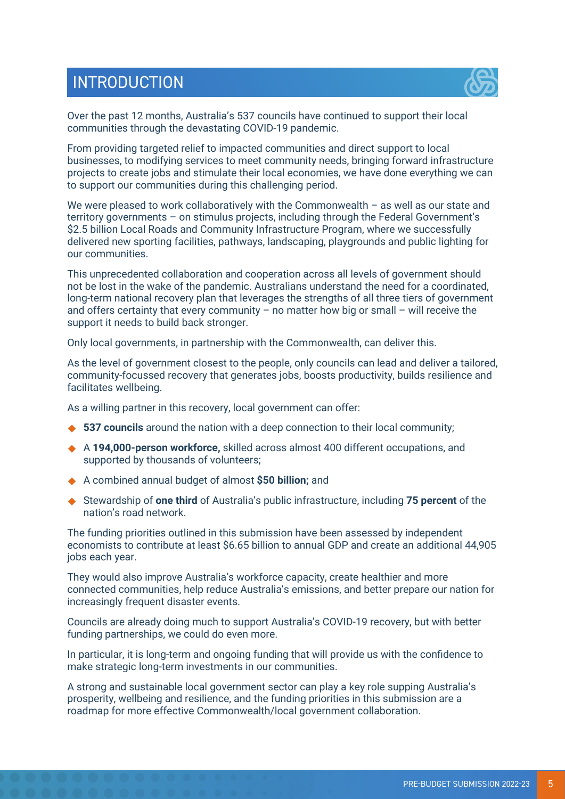# **INTRODUCTION**



Over the past 12 months, Australia's 537 councils have continued to support their local communities through the devastating COVID-19 pandemic.

From providing targeted relief to impacted communities and direct support to local businesses, to modifying services to meet community needs, bringing forward infrastructure projects to create jobs and stimulate their local economies, we have done everything we can to support our communities during this challenging period.

We were pleased to work collaboratively with the Commonwealth  $-$  as well as our state and territory governments – on stimulus projects, including through the Federal Government's \$2.5 billion Local Roads and Community Infrastructure Program, where we successfully delivered new sporting facilities, pathways, landscaping, playgrounds and public lighting for our communities.

This unprecedented collaboration and cooperation across all levels of government should not be lost in the wake of the pandemic. Australians understand the need for a coordinated, long-term national recovery plan that leverages the strengths of all three tiers of government and offers certainty that every community – no matter how big or small – will receive the support it needs to build back stronger.

Only local governments, in partnership with the Commonwealth, can deliver this.

As the level of government closest to the people, only councils can lead and deliver a tailored, community-focussed recovery that generates jobs, boosts productivity, builds resilience and facilitates wellbeing.

As a willing partner in this recovery, local government can offer:

- ◆ 537 councils around the nation with a deep connection to their local community;
- A **194,000-person workforce,** skilled across almost 400 different occupations, and supported by thousands of volunteers;
- A combined annual budget of almost **\$50 billion;** and
- Stewardship of **one third** of Australia's public infrastructure, including **75 percent** of the nation's road network.

The funding priorities outlined in this submission have been assessed by independent economists to contribute at least \$6.65 billion to annual GDP and create an additional 44,905 jobs each year.

They would also improve Australia's workforce capacity, create healthier and more connected communities, help reduce Australia's emissions, and better prepare our nation for increasingly frequent disaster events.

Councils are already doing much to support Australia's COVID-19 recovery, but with better funding partnerships, we could do even more.

In particular, it is long-term and ongoing funding that will provide us with the confidence to make strategic long-term investments in our communities.

A strong and sustainable local government sector can play a key role supping Australia's prosperity, wellbeing and resilience, and the funding priorities in this submission are a roadmap for more effective Commonwealth/local government collaboration.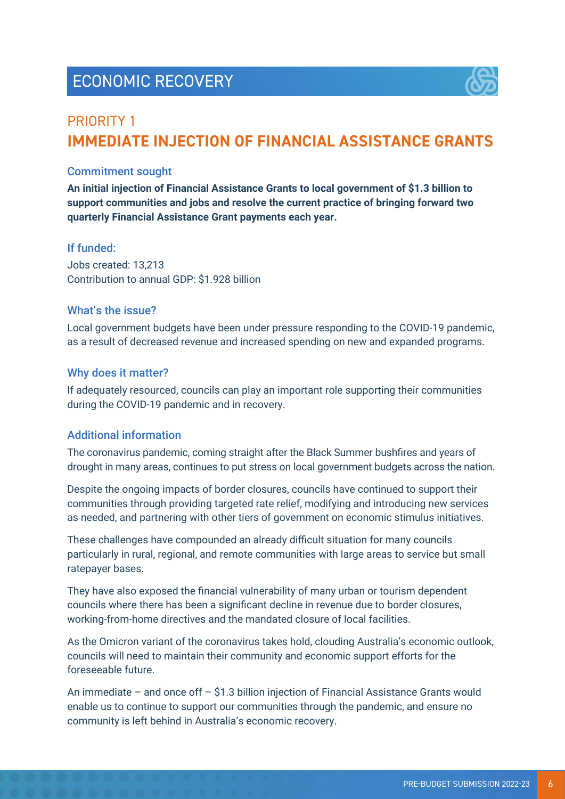# ECONOMIC RECOVERY



## PRIORITY 1 **IMMEDIATE INJECTION OF FINANCIAL ASSISTANCE GRANTS**

#### Commitment sought

**An initial injection of Financial Assistance Grants to local government of \$1.3 billion to support communities and jobs and resolve the current practice of bringing forward two quarterly Financial Assistance Grant payments each year.**

#### If funded:

Jobs created: 13,213 Contribution to annual GDP: \$1.928 billion

#### What's the issue?

Local government budgets have been under pressure responding to the COVID-19 pandemic, as a result of decreased revenue and increased spending on new and expanded programs.

#### Why does it matter?

If adequately resourced, councils can play an important role supporting their communities during the COVID-19 pandemic and in recovery.

#### Additional information

The coronavirus pandemic, coming straight after the Black Summer bushfires and years of drought in many areas, continues to put stress on local government budgets across the nation.

Despite the ongoing impacts of border closures, councils have continued to support their communities through providing targeted rate relief, modifying and introducing new services as needed, and partnering with other tiers of government on economic stimulus initiatives.

These challenges have compounded an already difficult situation for many councils particularly in rural, regional, and remote communities with large areas to service but small ratepayer bases.

They have also exposed the financial vulnerability of many urban or tourism dependent councils where there has been a significant decline in revenue due to border closures, working-from-home directives and the mandated closure of local facilities.

As the Omicron variant of the coronavirus takes hold, clouding Australia's economic outlook, councils will need to maintain their community and economic support efforts for the foreseeable future.

An immediate – and once off – \$1.3 billion injection of Financial Assistance Grants would enable us to continue to support our communities through the pandemic, and ensure no community is left behind in Australia's economic recovery.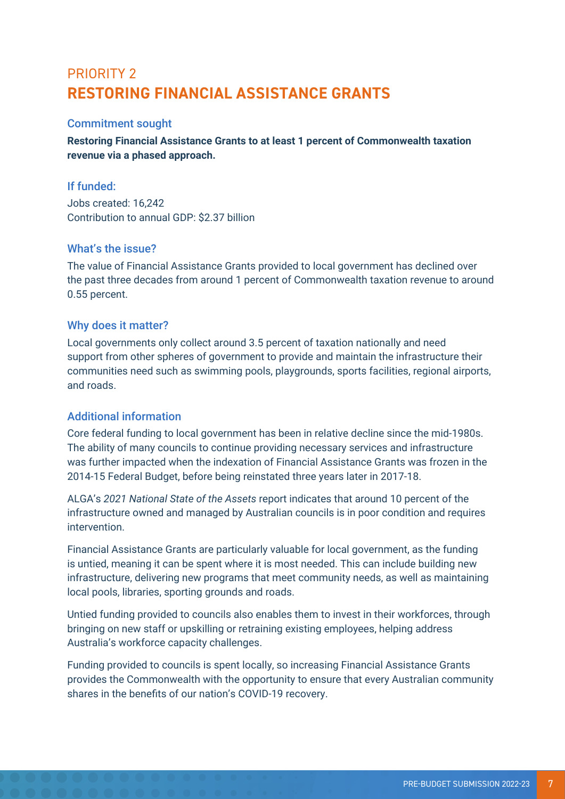## PRIORITY 2 **RESTORING FINANCIAL ASSISTANCE GRANTS**

#### Commitment sought

**Restoring Financial Assistance Grants to at least 1 percent of Commonwealth taxation revenue via a phased approach.** 

#### If funded:

Jobs created: 16,242 Contribution to annual GDP: \$2.37 billion

#### What's the issue?

The value of Financial Assistance Grants provided to local government has declined over the past three decades from around 1 percent of Commonwealth taxation revenue to around 0.55 percent.

#### Why does it matter?

Local governments only collect around 3.5 percent of taxation nationally and need support from other spheres of government to provide and maintain the infrastructure their communities need such as swimming pools, playgrounds, sports facilities, regional airports, and roads.

#### Additional information

Core federal funding to local government has been in relative decline since the mid-1980s. The ability of many councils to continue providing necessary services and infrastructure was further impacted when the indexation of Financial Assistance Grants was frozen in the 2014-15 Federal Budget, before being reinstated three years later in 2017-18.

ALGA's *2021 National State of the Assets* report indicates that around 10 percent of the infrastructure owned and managed by Australian councils is in poor condition and requires intervention.

Financial Assistance Grants are particularly valuable for local government, as the funding is untied, meaning it can be spent where it is most needed. This can include building new infrastructure, delivering new programs that meet community needs, as well as maintaining local pools, libraries, sporting grounds and roads.

Untied funding provided to councils also enables them to invest in their workforces, through bringing on new staff or upskilling or retraining existing employees, helping address Australia's workforce capacity challenges.

Funding provided to councils is spent locally, so increasing Financial Assistance Grants provides the Commonwealth with the opportunity to ensure that every Australian community shares in the benefits of our nation's COVID-19 recovery.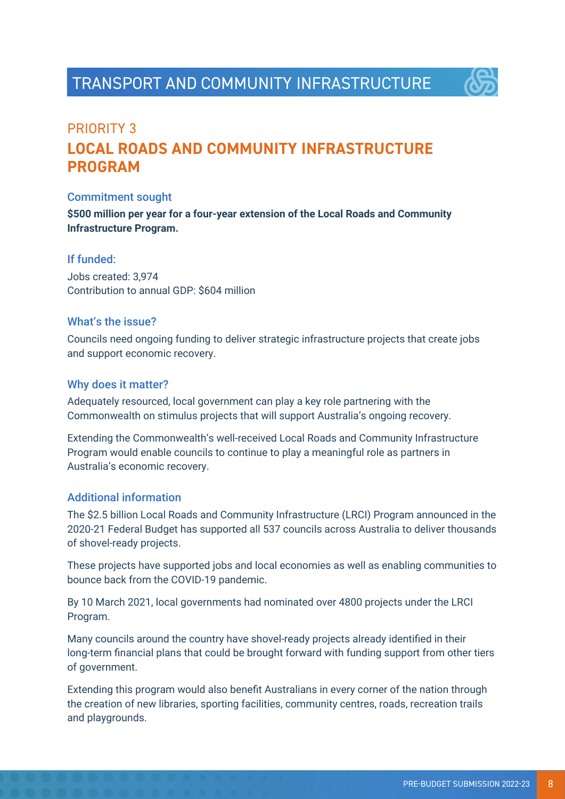

# PRIORITY 3 **LOCAL ROADS AND COMMUNITY INFRASTRUCTURE PROGRAM**

#### Commitment sought

**\$500 million per year for a four-year extension of the Local Roads and Community Infrastructure Program.**

#### If funded:

Jobs created: 3,974 Contribution to annual GDP: \$604 million

#### What's the issue?

Councils need ongoing funding to deliver strategic infrastructure projects that create jobs and support economic recovery.

#### Why does it matter?

Adequately resourced, local government can play a key role partnering with the Commonwealth on stimulus projects that will support Australia's ongoing recovery.

Extending the Commonwealth's well-received Local Roads and Community Infrastructure Program would enable councils to continue to play a meaningful role as partners in Australia's economic recovery.

#### Additional information

The \$2.5 billion Local Roads and Community Infrastructure (LRCI) Program announced in the 2020-21 Federal Budget has supported all 537 councils across Australia to deliver thousands of shovel-ready projects.

These projects have supported jobs and local economies as well as enabling communities to bounce back from the COVID-19 pandemic.

By 10 March 2021, local governments had nominated over 4800 projects under the LRCI Program.

Many councils around the country have shovel-ready projects already identified in their long-term financial plans that could be brought forward with funding support from other tiers of government.

Extending this program would also benefit Australians in every corner of the nation through the creation of new libraries, sporting facilities, community centres, roads, recreation trails and playgrounds.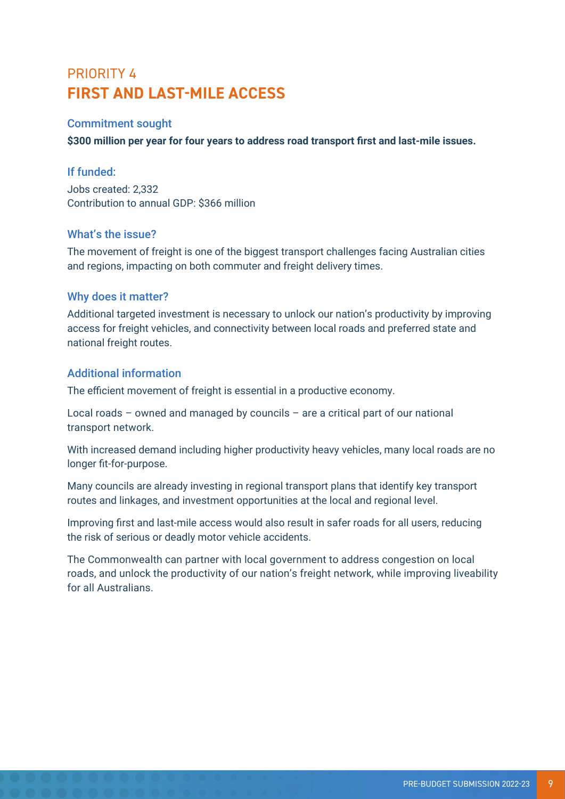# PRIORITY 4 **FIRST AND LAST-MILE ACCESS**

#### Commitment sought

**\$300 million per year for four years to address road transport first and last-mile issues.**

#### If funded:

Jobs created: 2,332 Contribution to annual GDP: \$366 million

#### What's the issue?

The movement of freight is one of the biggest transport challenges facing Australian cities and regions, impacting on both commuter and freight delivery times.

#### Why does it matter?

Additional targeted investment is necessary to unlock our nation's productivity by improving access for freight vehicles, and connectivity between local roads and preferred state and national freight routes.

#### Additional information

The efficient movement of freight is essential in a productive economy.

Local roads – owned and managed by councils – are a critical part of our national transport network.

With increased demand including higher productivity heavy vehicles, many local roads are no longer fit-for-purpose.

Many councils are already investing in regional transport plans that identify key transport routes and linkages, and investment opportunities at the local and regional level.

Improving first and last-mile access would also result in safer roads for all users, reducing the risk of serious or deadly motor vehicle accidents.

The Commonwealth can partner with local government to address congestion on local roads, and unlock the productivity of our nation's freight network, while improving liveability for all Australians.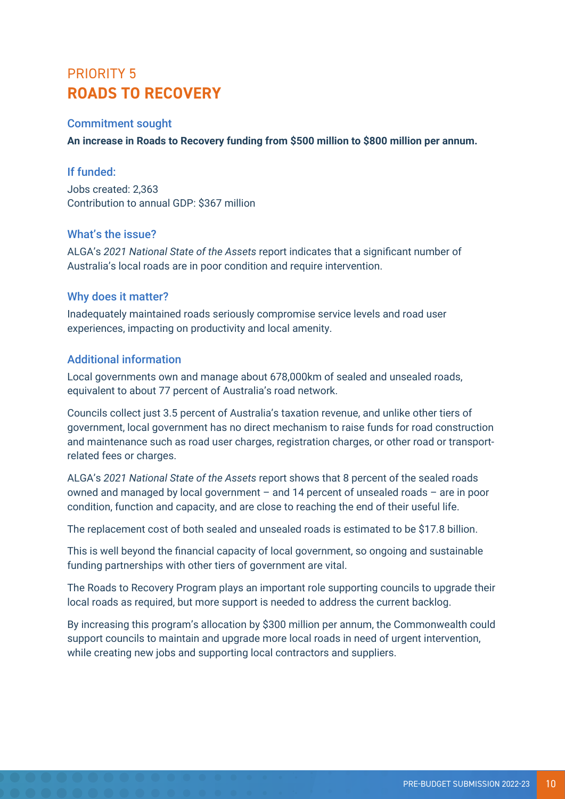## PRIORITY 5 **ROADS TO RECOVERY**

#### Commitment sought

**An increase in Roads to Recovery funding from \$500 million to \$800 million per annum.**

#### If funded:

Jobs created: 2,363 Contribution to annual GDP: \$367 million

#### What's the issue?

ALGA's *2021 National State of the Assets* report indicates that a significant number of Australia's local roads are in poor condition and require intervention.

#### Why does it matter?

Inadequately maintained roads seriously compromise service levels and road user experiences, impacting on productivity and local amenity.

#### Additional information

Local governments own and manage about 678,000km of sealed and unsealed roads, equivalent to about 77 percent of Australia's road network.

Councils collect just 3.5 percent of Australia's taxation revenue, and unlike other tiers of government, local government has no direct mechanism to raise funds for road construction and maintenance such as road user charges, registration charges, or other road or transportrelated fees or charges.

ALGA's *2021 National State of the Assets* report shows that 8 percent of the sealed roads owned and managed by local government – and 14 percent of unsealed roads – are in poor condition, function and capacity, and are close to reaching the end of their useful life.

The replacement cost of both sealed and unsealed roads is estimated to be \$17.8 billion.

This is well beyond the financial capacity of local government, so ongoing and sustainable funding partnerships with other tiers of government are vital.

The Roads to Recovery Program plays an important role supporting councils to upgrade their local roads as required, but more support is needed to address the current backlog.

By increasing this program's allocation by \$300 million per annum, the Commonwealth could support councils to maintain and upgrade more local roads in need of urgent intervention, while creating new jobs and supporting local contractors and suppliers.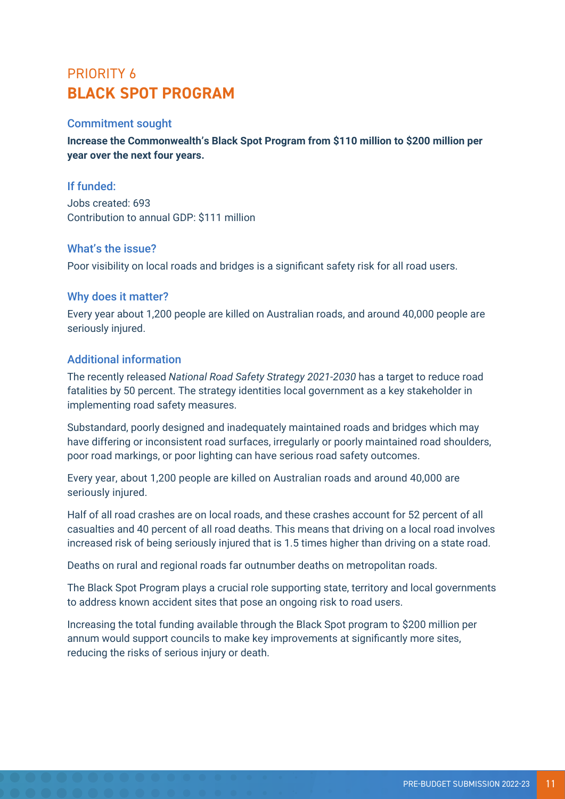## PRIORITY 6 **BLACK SPOT PROGRAM**

#### Commitment sought

**Increase the Commonwealth's Black Spot Program from \$110 million to \$200 million per year over the next four years.**

#### If funded:

Jobs created: 693 Contribution to annual GDP: \$111 million

#### What's the issue?

Poor visibility on local roads and bridges is a significant safety risk for all road users.

#### Why does it matter?

Every year about 1,200 people are killed on Australian roads, and around 40,000 people are seriously injured.

#### Additional information

The recently released *National Road Safety Strategy 2021-2030* has a target to reduce road fatalities by 50 percent. The strategy identities local government as a key stakeholder in implementing road safety measures.

Substandard, poorly designed and inadequately maintained roads and bridges which may have differing or inconsistent road surfaces, irregularly or poorly maintained road shoulders, poor road markings, or poor lighting can have serious road safety outcomes.

Every year, about 1,200 people are killed on Australian roads and around 40,000 are seriously injured.

Half of all road crashes are on local roads, and these crashes account for 52 percent of all casualties and 40 percent of all road deaths. This means that driving on a local road involves increased risk of being seriously injured that is 1.5 times higher than driving on a state road.

Deaths on rural and regional roads far outnumber deaths on metropolitan roads.

The Black Spot Program plays a crucial role supporting state, territory and local governments to address known accident sites that pose an ongoing risk to road users.

Increasing the total funding available through the Black Spot program to \$200 million per annum would support councils to make key improvements at significantly more sites, reducing the risks of serious injury or death.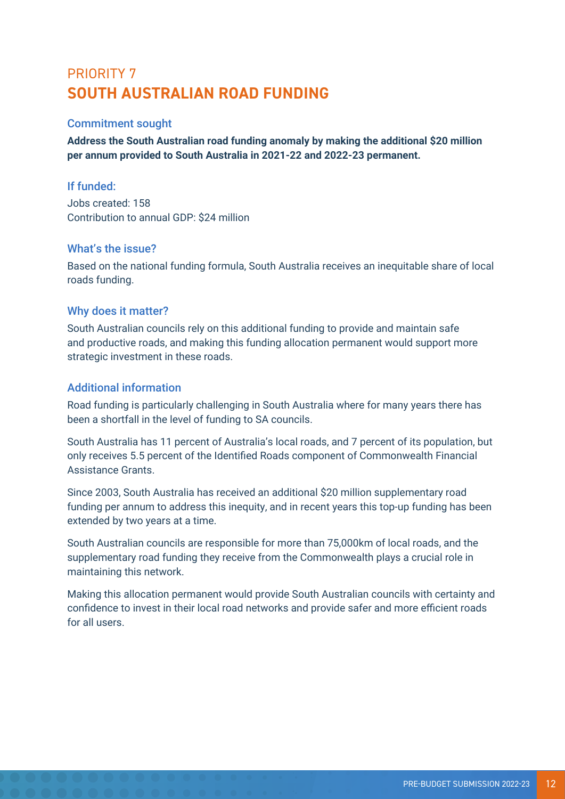## PRIORITY 7 **SOUTH AUSTRALIAN ROAD FUNDING**

#### Commitment sought

**Address the South Australian road funding anomaly by making the additional \$20 million per annum provided to South Australia in 2021-22 and 2022-23 permanent.**

#### If funded:

Jobs created: 158 Contribution to annual GDP: \$24 million

#### What's the issue?

Based on the national funding formula, South Australia receives an inequitable share of local roads funding.

#### Why does it matter?

South Australian councils rely on this additional funding to provide and maintain safe and productive roads, and making this funding allocation permanent would support more strategic investment in these roads.

#### Additional information

Road funding is particularly challenging in South Australia where for many years there has been a shortfall in the level of funding to SA councils.

South Australia has 11 percent of Australia's local roads, and 7 percent of its population, but only receives 5.5 percent of the Identified Roads component of Commonwealth Financial Assistance Grants.

Since 2003, South Australia has received an additional \$20 million supplementary road funding per annum to address this inequity, and in recent years this top-up funding has been extended by two years at a time.

South Australian councils are responsible for more than 75,000km of local roads, and the supplementary road funding they receive from the Commonwealth plays a crucial role in maintaining this network.

Making this allocation permanent would provide South Australian councils with certainty and confidence to invest in their local road networks and provide safer and more efficient roads for all users.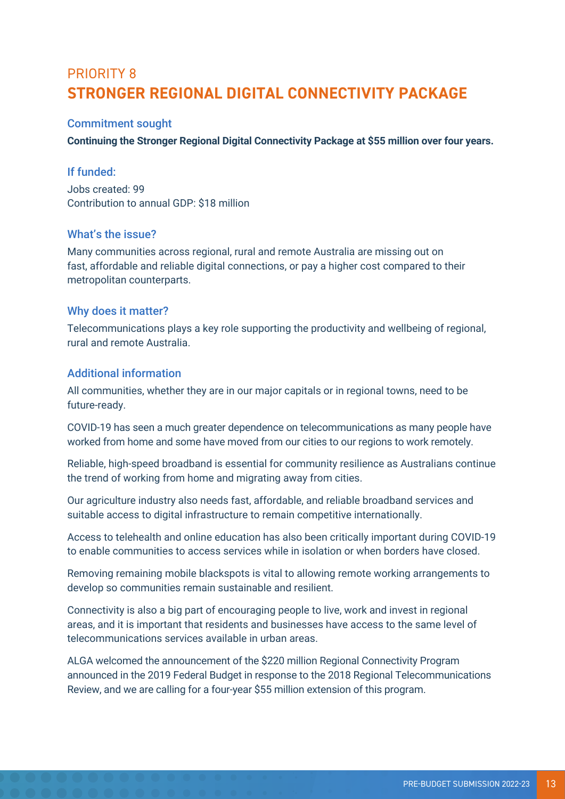## PRIORITY 8 **STRONGER REGIONAL DIGITAL CONNECTIVITY PACKAGE**

#### Commitment sought

**Continuing the Stronger Regional Digital Connectivity Package at \$55 million over four years.**

#### If funded:

Jobs created: 99 Contribution to annual GDP: \$18 million

#### What's the issue?

Many communities across regional, rural and remote Australia are missing out on fast, affordable and reliable digital connections, or pay a higher cost compared to their metropolitan counterparts.

#### Why does it matter?

Telecommunications plays a key role supporting the productivity and wellbeing of regional, rural and remote Australia.

#### Additional information

All communities, whether they are in our major capitals or in regional towns, need to be future-ready.

COVID-19 has seen a much greater dependence on telecommunications as many people have worked from home and some have moved from our cities to our regions to work remotely.

Reliable, high-speed broadband is essential for community resilience as Australians continue the trend of working from home and migrating away from cities.

Our agriculture industry also needs fast, affordable, and reliable broadband services and suitable access to digital infrastructure to remain competitive internationally.

Access to telehealth and online education has also been critically important during COVID-19 to enable communities to access services while in isolation or when borders have closed.

Removing remaining mobile blackspots is vital to allowing remote working arrangements to develop so communities remain sustainable and resilient.

Connectivity is also a big part of encouraging people to live, work and invest in regional areas, and it is important that residents and businesses have access to the same level of telecommunications services available in urban areas.

ALGA welcomed the announcement of the \$220 million Regional Connectivity Program announced in the 2019 Federal Budget in response to the 2018 Regional Telecommunications Review, and we are calling for a four-year \$55 million extension of this program.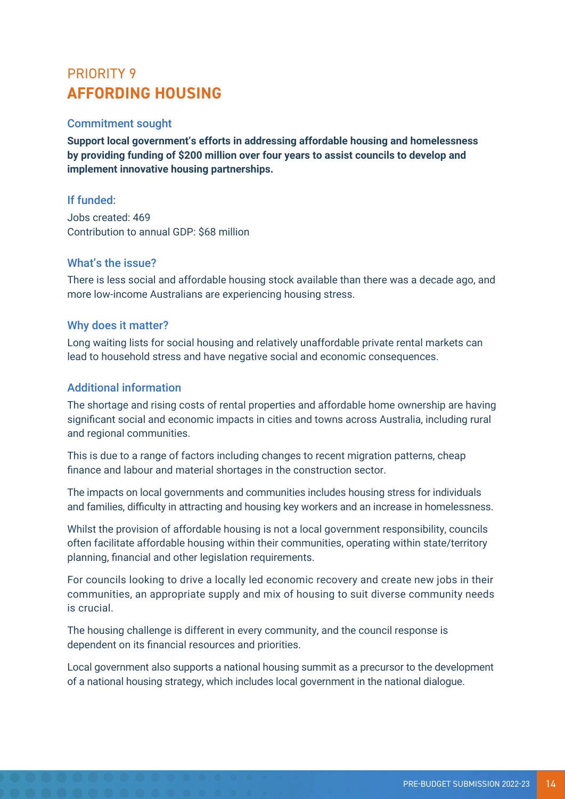## PRIORITY 9 **AFFORDING HOUSING**

#### Commitment sought

**Support local government's efforts in addressing affordable housing and homelessness by providing funding of \$200 million over four years to assist councils to develop and implement innovative housing partnerships.**

#### If funded:

Jobs created: 469 Contribution to annual GDP: \$68 million

#### What's the issue?

There is less social and affordable housing stock available than there was a decade ago, and more low-income Australians are experiencing housing stress.

#### Why does it matter?

Long waiting lists for social housing and relatively unaffordable private rental markets can lead to household stress and have negative social and economic consequences.

#### Additional information

The shortage and rising costs of rental properties and affordable home ownership are having significant social and economic impacts in cities and towns across Australia, including rural and regional communities.

This is due to a range of factors including changes to recent migration patterns, cheap finance and labour and material shortages in the construction sector.

The impacts on local governments and communities includes housing stress for individuals and families, difficulty in attracting and housing key workers and an increase in homelessness.

Whilst the provision of affordable housing is not a local government responsibility, councils often facilitate affordable housing within their communities, operating within state/territory planning, financial and other legislation requirements.

For councils looking to drive a locally led economic recovery and create new jobs in their communities, an appropriate supply and mix of housing to suit diverse community needs is crucial.

The housing challenge is different in every community, and the council response is dependent on its financial resources and priorities.

Local government also supports a national housing summit as a precursor to the development of a national housing strategy, which includes local government in the national dialogue.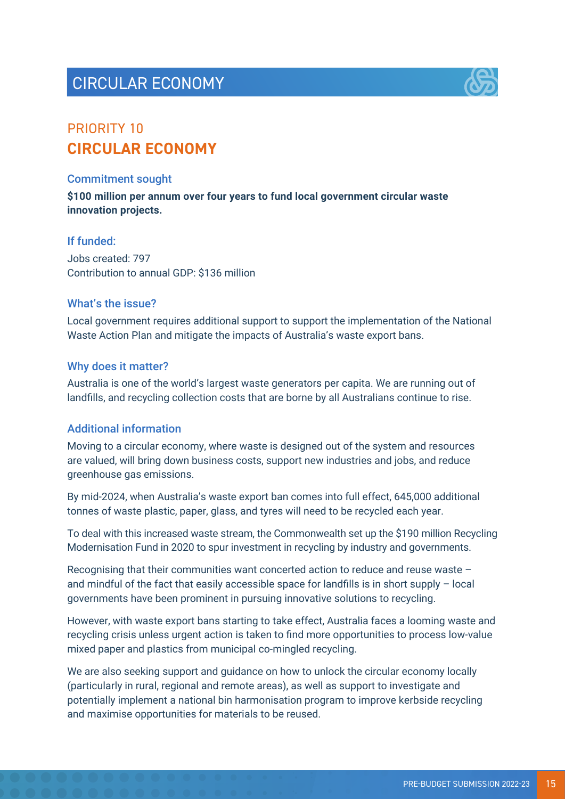# CIRCULAR ECONOMY



## PRIORITY 10 **CIRCULAR ECONOMY**

#### Commitment sought

**\$100 million per annum over four years to fund local government circular waste innovation projects.**

#### If funded:

Jobs created: 797 Contribution to annual GDP: \$136 million

#### What's the issue?

Local government requires additional support to support the implementation of the National Waste Action Plan and mitigate the impacts of Australia's waste export bans.

#### Why does it matter?

Australia is one of the world's largest waste generators per capita. We are running out of landfills, and recycling collection costs that are borne by all Australians continue to rise.

#### Additional information

Moving to a circular economy, where waste is designed out of the system and resources are valued, will bring down business costs, support new industries and jobs, and reduce greenhouse gas emissions.

By mid-2024, when Australia's waste export ban comes into full effect, 645,000 additional tonnes of waste plastic, paper, glass, and tyres will need to be recycled each year.

To deal with this increased waste stream, the Commonwealth set up the \$190 million Recycling Modernisation Fund in 2020 to spur investment in recycling by industry and governments.

Recognising that their communities want concerted action to reduce and reuse waste – and mindful of the fact that easily accessible space for landfills is in short supply – local governments have been prominent in pursuing innovative solutions to recycling.

However, with waste export bans starting to take effect, Australia faces a looming waste and recycling crisis unless urgent action is taken to find more opportunities to process low-value mixed paper and plastics from municipal co-mingled recycling.

We are also seeking support and guidance on how to unlock the circular economy locally (particularly in rural, regional and remote areas), as well as support to investigate and potentially implement a national bin harmonisation program to improve kerbside recycling and maximise opportunities for materials to be reused.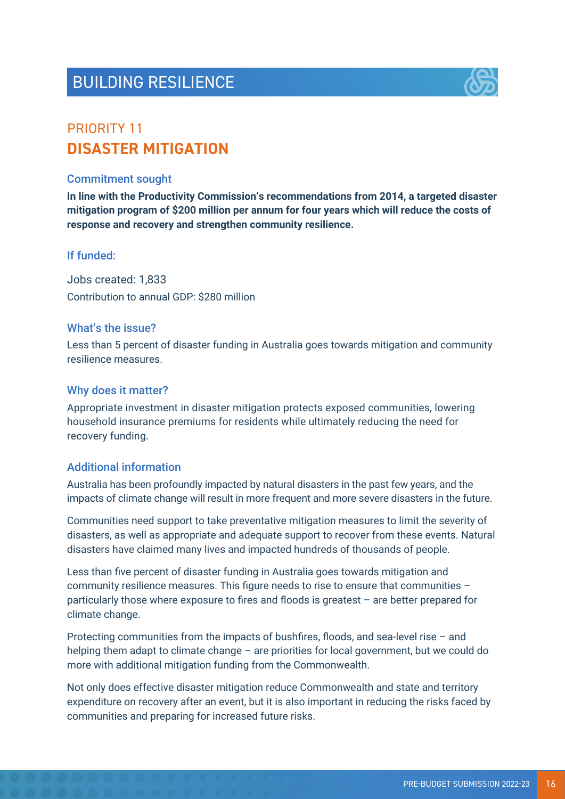# BUILDING RESILIENCE



## PRIORITY 11 **DISASTER MITIGATION**

#### Commitment sought

**In line with the Productivity Commission's recommendations from 2014, a targeted disaster mitigation program of \$200 million per annum for four years which will reduce the costs of response and recovery and strengthen community resilience.**

#### If funded:

Jobs created: 1,833 Contribution to annual GDP: \$280 million

#### What's the issue?

Less than 5 percent of disaster funding in Australia goes towards mitigation and community resilience measures.

#### Why does it matter?

Appropriate investment in disaster mitigation protects exposed communities, lowering household insurance premiums for residents while ultimately reducing the need for recovery funding.

#### Additional information

Australia has been profoundly impacted by natural disasters in the past few years, and the impacts of climate change will result in more frequent and more severe disasters in the future.

Communities need support to take preventative mitigation measures to limit the severity of disasters, as well as appropriate and adequate support to recover from these events. Natural disasters have claimed many lives and impacted hundreds of thousands of people.

Less than five percent of disaster funding in Australia goes towards mitigation and community resilience measures. This figure needs to rise to ensure that communities – particularly those where exposure to fires and floods is greatest – are better prepared for climate change.

Protecting communities from the impacts of bushfires, floods, and sea-level rise – and helping them adapt to climate change – are priorities for local government, but we could do more with additional mitigation funding from the Commonwealth.

Not only does effective disaster mitigation reduce Commonwealth and state and territory expenditure on recovery after an event, but it is also important in reducing the risks faced by communities and preparing for increased future risks.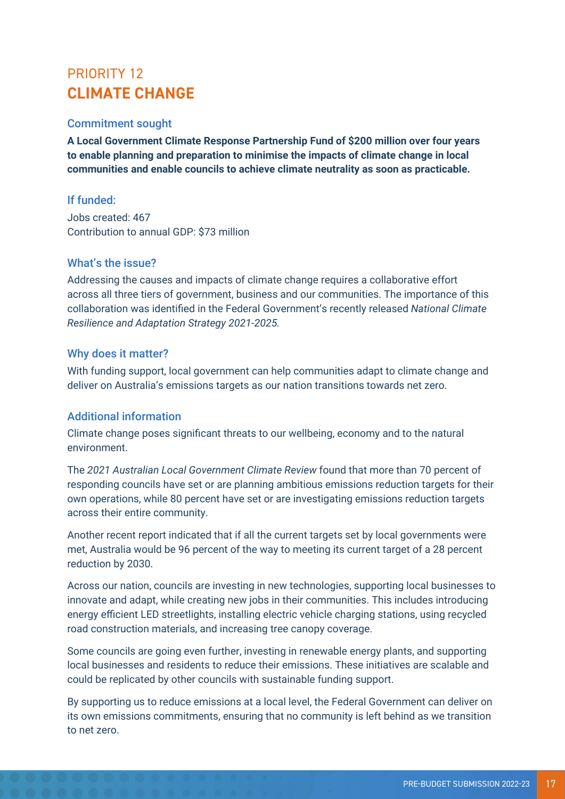## PRIORITY 12 **CLIMATE CHANGE**

#### Commitment sought

**A Local Government Climate Response Partnership Fund of \$200 million over four years to enable planning and preparation to minimise the impacts of climate change in local communities and enable councils to achieve climate neutrality as soon as practicable.**

#### If funded:

Jobs created: 467 Contribution to annual GDP: \$73 million

#### What's the issue?

Addressing the causes and impacts of climate change requires a collaborative effort across all three tiers of government, business and our communities. The importance of this collaboration was identified in the Federal Government's recently released *National Climate Resilience and Adaptation Strategy 2021-2025.* 

#### Why does it matter?

With funding support, local government can help communities adapt to climate change and deliver on Australia's emissions targets as our nation transitions towards net zero.

#### Additional information

Climate change poses significant threats to our wellbeing, economy and to the natural environment.

The *2021 Australian Local Government Climate Review* found that more than 70 percent of responding councils have set or are planning ambitious emissions reduction targets for their own operations, while 80 percent have set or are investigating emissions reduction targets across their entire community.

Another recent report indicated that if all the current targets set by local governments were met, Australia would be 96 percent of the way to meeting its current target of a 28 percent reduction by 2030.

Across our nation, councils are investing in new technologies, supporting local businesses to innovate and adapt, while creating new jobs in their communities. This includes introducing energy efficient LED streetlights, installing electric vehicle charging stations, using recycled road construction materials, and increasing tree canopy coverage.

Some councils are going even further, investing in renewable energy plants, and supporting local businesses and residents to reduce their emissions. These initiatives are scalable and could be replicated by other councils with sustainable funding support.

By supporting us to reduce emissions at a local level, the Federal Government can deliver on its own emissions commitments, ensuring that no community is left behind as we transition to net zero.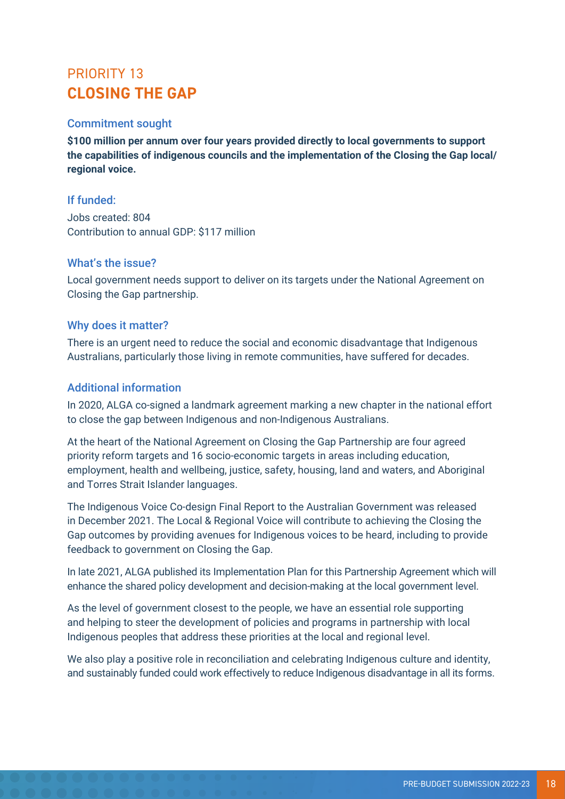## PRIORITY 13 **CLOSING THE GAP**

#### Commitment sought

**\$100 million per annum over four years provided directly to local governments to support the capabilities of indigenous councils and the implementation of the Closing the Gap local/ regional voice.**

#### If funded:

Jobs created: 804 Contribution to annual GDP: \$117 million

#### What's the issue?

Local government needs support to deliver on its targets under the National Agreement on Closing the Gap partnership.

#### Why does it matter?

There is an urgent need to reduce the social and economic disadvantage that Indigenous Australians, particularly those living in remote communities, have suffered for decades.

#### Additional information

In 2020, ALGA co-signed a landmark agreement marking a new chapter in the national effort to close the gap between Indigenous and non-Indigenous Australians.

At the heart of the National Agreement on Closing the Gap Partnership are four agreed priority reform targets and 16 socio-economic targets in areas including education, employment, health and wellbeing, justice, safety, housing, land and waters, and Aboriginal and Torres Strait Islander languages.

The Indigenous Voice Co-design Final Report to the Australian Government was released in December 2021. The Local & Regional Voice will contribute to achieving the Closing the Gap outcomes by providing avenues for Indigenous voices to be heard, including to provide feedback to government on Closing the Gap.

In late 2021, ALGA published its Implementation Plan for this Partnership Agreement which will enhance the shared policy development and decision-making at the local government level.

As the level of government closest to the people, we have an essential role supporting and helping to steer the development of policies and programs in partnership with local Indigenous peoples that address these priorities at the local and regional level.

We also play a positive role in reconciliation and celebrating Indigenous culture and identity, and sustainably funded could work effectively to reduce Indigenous disadvantage in all its forms.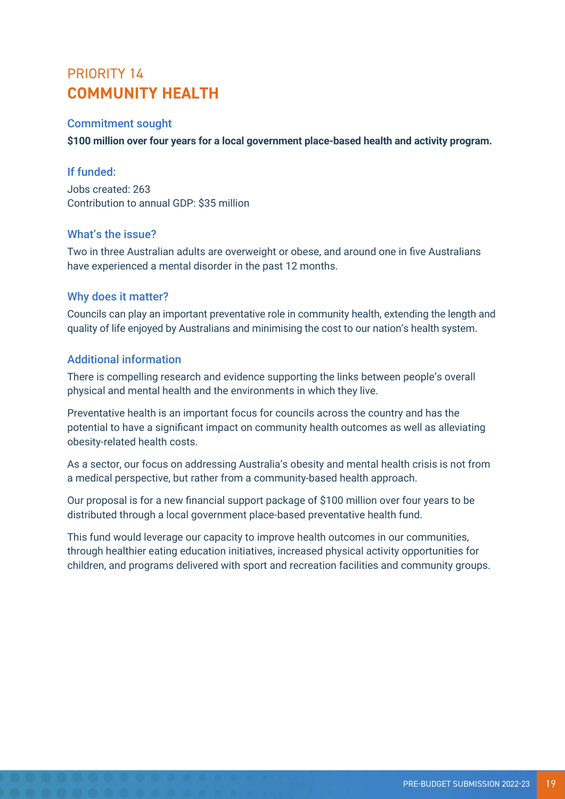## PRIORITY 14 **COMMUNITY HEALTH**

#### Commitment sought

**\$100 million over four years for a local government place-based health and activity program.**

#### If funded:

Jobs created: 263 Contribution to annual GDP: \$35 million

#### What's the issue?

Two in three Australian adults are overweight or obese, and around one in five Australians have experienced a mental disorder in the past 12 months.

#### Why does it matter?

Councils can play an important preventative role in community health, extending the length and quality of life enjoyed by Australians and minimising the cost to our nation's health system.

#### Additional information

There is compelling research and evidence supporting the links between people's overall physical and mental health and the environments in which they live.

Preventative health is an important focus for councils across the country and has the potential to have a significant impact on community health outcomes as well as alleviating obesity-related health costs.

As a sector, our focus on addressing Australia's obesity and mental health crisis is not from a medical perspective, but rather from a community-based health approach.

Our proposal is for a new financial support package of \$100 million over four years to be distributed through a local government place-based preventative health fund.

This fund would leverage our capacity to improve health outcomes in our communities, through healthier eating education initiatives, increased physical activity opportunities for children, and programs delivered with sport and recreation facilities and community groups.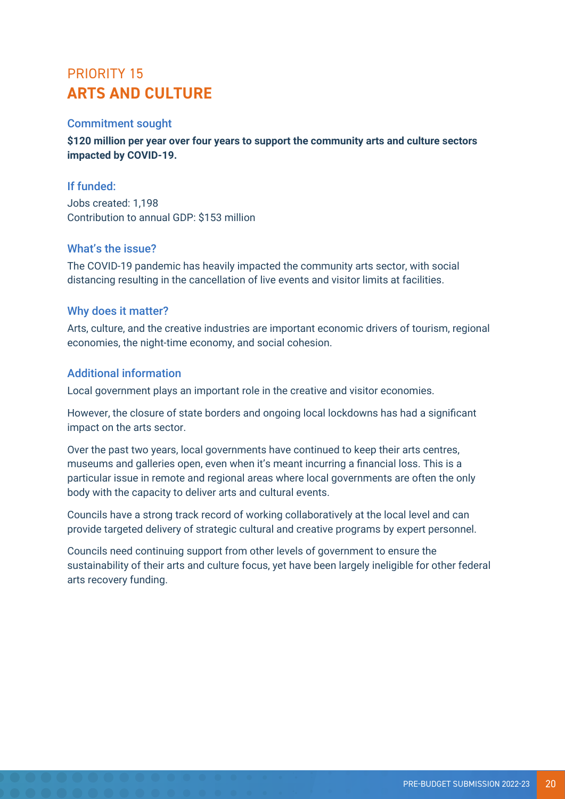## PRIORITY 15 **ARTS AND CULTURE**

#### Commitment sought

**\$120 million per year over four years to support the community arts and culture sectors impacted by COVID-19.**

#### If funded:

Jobs created: 1,198 Contribution to annual GDP: \$153 million

#### What's the issue?

The COVID-19 pandemic has heavily impacted the community arts sector, with social distancing resulting in the cancellation of live events and visitor limits at facilities.

#### Why does it matter?

Arts, culture, and the creative industries are important economic drivers of tourism, regional economies, the night-time economy, and social cohesion.

#### Additional information

Local government plays an important role in the creative and visitor economies.

However, the closure of state borders and ongoing local lockdowns has had a significant impact on the arts sector.

Over the past two years, local governments have continued to keep their arts centres, museums and galleries open, even when it's meant incurring a financial loss. This is a particular issue in remote and regional areas where local governments are often the only body with the capacity to deliver arts and cultural events.

Councils have a strong track record of working collaboratively at the local level and can provide targeted delivery of strategic cultural and creative programs by expert personnel.

Councils need continuing support from other levels of government to ensure the sustainability of their arts and culture focus, yet have been largely ineligible for other federal arts recovery funding.